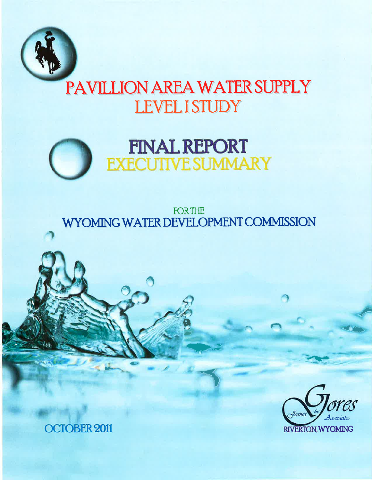

# PAVILLION AREA WATER SUPPLY **LEVEL I STUDY**



**FOR THE** WYOMING WATER DEVELOPMENT COMMISSION



**OCTOBER 2011**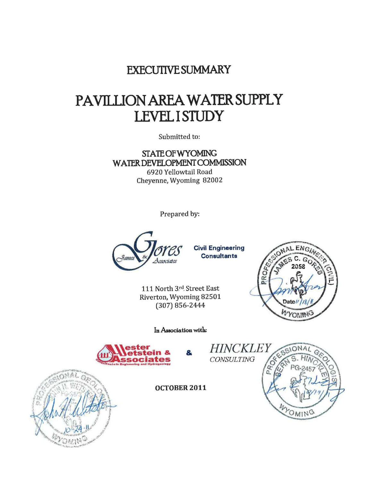### **EXECUTIVE SUMMARY**

## PAVILLION AREA WATER SUPPLY **LEVEL I STUDY**

Submitted to:

**STATE OF WYOMING** WATER DEVELOPMENT COMMISSION 6920 Yellowtail Road Cheyenne, Wyoming 82002

Prepared by:



**Civil Engineering Consultants** 

111 North 3rd Street East Riverton, Wyoming 82501  $(307) 856 - 2444$ 

In Association with:

8



CONSULTING

**HINCKLEY** WYOMING



**OCTOBER 2011**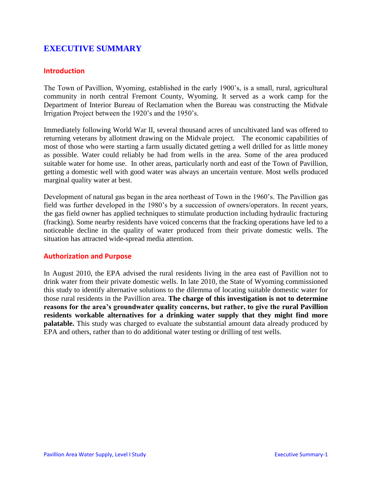#### **EXECUTIVE SUMMARY**

#### **Introduction**

The Town of Pavillion, Wyoming, established in the early 1900's, is a small, rural, agricultural community in north central Fremont County, Wyoming. It served as a work camp for the Department of Interior Bureau of Reclamation when the Bureau was constructing the Midvale Irrigation Project between the 1920's and the 1950's.

Immediately following World War II, several thousand acres of uncultivated land was offered to returning veterans by allotment drawing on the Midvale project. The economic capabilities of most of those who were starting a farm usually dictated getting a well drilled for as little money as possible. Water could reliably be had from wells in the area. Some of the area produced suitable water for home use. In other areas, particularly north and east of the Town of Pavillion, getting a domestic well with good water was always an uncertain venture. Most wells produced marginal quality water at best.

Development of natural gas began in the area northeast of Town in the 1960's. The Pavillion gas field was further developed in the 1980's by a succession of owners/operators. In recent years, the gas field owner has applied techniques to stimulate production including hydraulic fracturing (fracking). Some nearby residents have voiced concerns that the fracking operations have led to a noticeable decline in the quality of water produced from their private domestic wells. The situation has attracted wide-spread media attention.

#### **Authorization and Purpose**

In August 2010, the EPA advised the rural residents living in the area east of Pavillion not to drink water from their private domestic wells. In late 2010, the State of Wyoming commissioned this study to identify alternative solutions to the dilemma of locating suitable domestic water for those rural residents in the Pavillion area. **The charge of this investigation is not to determine reasons for the area's groundwater quality concerns, but rather, to give the rural Pavillion residents workable alternatives for a drinking water supply that they might find more palatable.** This study was charged to evaluate the substantial amount data already produced by EPA and others, rather than to do additional water testing or drilling of test wells.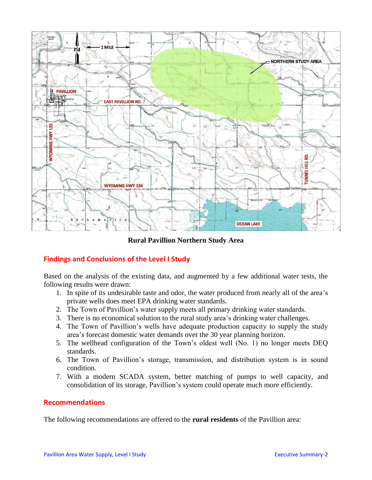

**Rural Pavillion Northern Study Area**

#### **Findings and Conclusions of the Level I Study**

Based on the analysis of the existing data, and augmented by a few additional water tests, the following results were drawn:

- 1. In spite of its undesirable taste and odor, the water produced from nearly all of the area's private wells does meet EPA drinking water standards.
- 2. The Town of Pavillion's water supply meets all primary drinking water standards.
- 3. There is no economical solution to the rural study area's drinking water challenges.
- 4. The Town of Pavillion's wells have adequate production capacity to supply the study area's forecast domestic water demands over the 30 year planning horizon.
- 5. The wellhead configuration of the Town's oldest well (No. 1) no longer meets DEQ standards.
- 6. The Town of Pavillion's storage, transmission, and distribution system is in sound condition.
- 7. With a modern SCADA system, better matching of pumps to well capacity, and consolidation of its storage, Pavillion's system could operate much more efficiently.

#### **Recommendations**

The following recommendations are offered to the **rural residents** of the Pavillion area: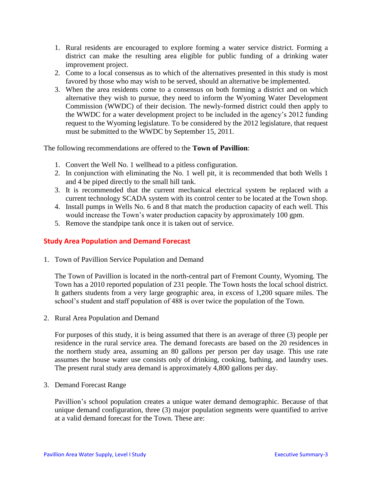- 1. Rural residents are encouraged to explore forming a water service district. Forming a district can make the resulting area eligible for public funding of a drinking water improvement project.
- 2. Come to a local consensus as to which of the alternatives presented in this study is most favored by those who may wish to be served, should an alternative be implemented.
- 3. When the area residents come to a consensus on both forming a district and on which alternative they wish to pursue, they need to inform the Wyoming Water Development Commission (WWDC) of their decision. The newly-formed district could then apply to the WWDC for a water development project to be included in the agency's 2012 funding request to the Wyoming legislature. To be considered by the 2012 legislature, that request must be submitted to the WWDC by September 15, 2011.

The following recommendations are offered to the **Town of Pavillion**:

- 1. Convert the Well No. 1 wellhead to a pitless configuration.
- 2. In conjunction with eliminating the No. 1 well pit, it is recommended that both Wells 1 and 4 be piped directly to the small hill tank.
- 3. It is recommended that the current mechanical electrical system be replaced with a current technology SCADA system with its control center to be located at the Town shop.
- 4. Install pumps in Wells No. 6 and 8 that match the production capacity of each well. This would increase the Town's water production capacity by approximately 100 gpm.
- 5. Remove the standpipe tank once it is taken out of service.

#### **Study Area Population and Demand Forecast**

1. Town of Pavillion Service Population and Demand

The Town of Pavillion is located in the north-central part of Fremont County, Wyoming. The Town has a 2010 reported population of 231 people. The Town hosts the local school district. It gathers students from a very large geographic area, in excess of 1,200 square miles. The school's student and staff population of 488 is over twice the population of the Town.

2. Rural Area Population and Demand

For purposes of this study, it is being assumed that there is an average of three (3) people per residence in the rural service area. The demand forecasts are based on the 20 residences in the northern study area, assuming an 80 gallons per person per day usage. This use rate assumes the house water use consists only of drinking, cooking, bathing, and laundry uses. The present rural study area demand is approximately 4,800 gallons per day.

3. Demand Forecast Range

Pavillion's school population creates a unique water demand demographic. Because of that unique demand configuration, three (3) major population segments were quantified to arrive at a valid demand forecast for the Town. These are: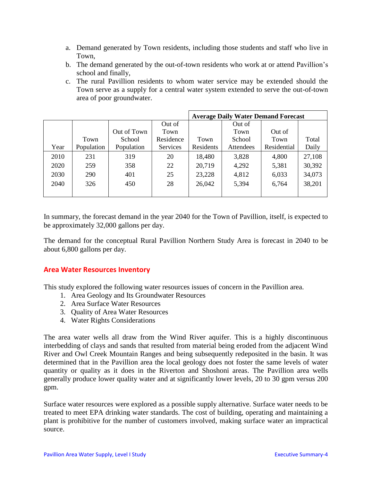- a. Demand generated by Town residents, including those students and staff who live in Town,
- b. The demand generated by the out-of-town residents who work at or attend Pavillion's school and finally,
- c. The rural Pavillion residents to whom water service may be extended should the Town serve as a supply for a central water system extended to serve the out-of-town area of poor groundwater.

|      |            |             |                 | <b>Average Daily Water Demand Forecast</b> |           |             |        |  |  |
|------|------------|-------------|-----------------|--------------------------------------------|-----------|-------------|--------|--|--|
|      |            |             | Out of          |                                            | Out of    |             |        |  |  |
|      |            | Out of Town | Town            |                                            | Town      | Out of      |        |  |  |
|      | Town       | School      | Residence       | Town                                       | School    | Town        | Total  |  |  |
| Year | Population | Population  | <b>Services</b> | Residents                                  | Attendees | Residential | Daily  |  |  |
| 2010 | 231        | 319         | 20              | 18,480                                     | 3,828     | 4,800       | 27,108 |  |  |
| 2020 | 259        | 358         | 22              | 20,719                                     | 4,292     | 5,381       | 30,392 |  |  |
| 2030 | 290        | 401         | 25              | 23,228                                     | 4,812     | 6,033       | 34,073 |  |  |
| 2040 | 326        | 450         | 28              | 26,042                                     | 5,394     | 6,764       | 38,201 |  |  |
|      |            |             |                 |                                            |           |             |        |  |  |

In summary, the forecast demand in the year 2040 for the Town of Pavillion, itself, is expected to be approximately 32,000 gallons per day.

The demand for the conceptual Rural Pavillion Northern Study Area is forecast in 2040 to be about 6,800 gallons per day.

#### **Area Water Resources Inventory**

This study explored the following water resources issues of concern in the Pavillion area.

- 1. Area Geology and Its Groundwater Resources
- 2. Area Surface Water Resources
- 3. Quality of Area Water Resources
- 4. Water Rights Considerations

The area water wells all draw from the Wind River aquifer. This is a highly discontinuous interbedding of clays and sands that resulted from material being eroded from the adjacent Wind River and Owl Creek Mountain Ranges and being subsequently redeposited in the basin. It was determined that in the Pavillion area the local geology does not foster the same levels of water quantity or quality as it does in the Riverton and Shoshoni areas. The Pavillion area wells generally produce lower quality water and at significantly lower levels, 20 to 30 gpm versus 200 gpm.

Surface water resources were explored as a possible supply alternative. Surface water needs to be treated to meet EPA drinking water standards. The cost of building, operating and maintaining a plant is prohibitive for the number of customers involved, making surface water an impractical source.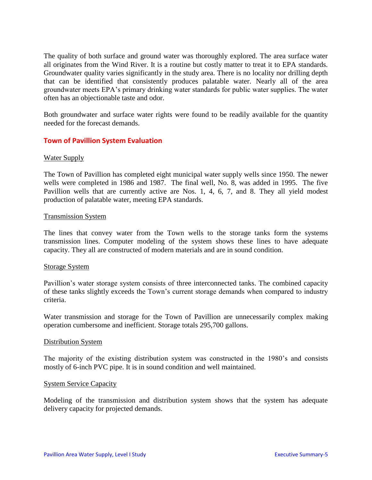The quality of both surface and ground water was thoroughly explored. The area surface water all originates from the Wind River. It is a routine but costly matter to treat it to EPA standards. Groundwater quality varies significantly in the study area. There is no locality nor drilling depth that can be identified that consistently produces palatable water. Nearly all of the area groundwater meets EPA's primary drinking water standards for public water supplies. The water often has an objectionable taste and odor.

Both groundwater and surface water rights were found to be readily available for the quantity needed for the forecast demands.

#### **Town of Pavillion System Evaluation**

#### Water Supply

The Town of Pavillion has completed eight municipal water supply wells since 1950. The newer wells were completed in 1986 and 1987. The final well, No. 8, was added in 1995. The five Pavillion wells that are currently active are Nos. 1, 4, 6, 7, and 8. They all yield modest production of palatable water, meeting EPA standards.

#### Transmission System

The lines that convey water from the Town wells to the storage tanks form the systems transmission lines. Computer modeling of the system shows these lines to have adequate capacity. They all are constructed of modern materials and are in sound condition.

#### Storage System

Pavillion's water storage system consists of three interconnected tanks. The combined capacity of these tanks slightly exceeds the Town's current storage demands when compared to industry criteria.

Water transmission and storage for the Town of Pavillion are unnecessarily complex making operation cumbersome and inefficient. Storage totals 295,700 gallons.

#### Distribution System

The majority of the existing distribution system was constructed in the 1980's and consists mostly of 6-inch PVC pipe. It is in sound condition and well maintained.

#### System Service Capacity

Modeling of the transmission and distribution system shows that the system has adequate delivery capacity for projected demands.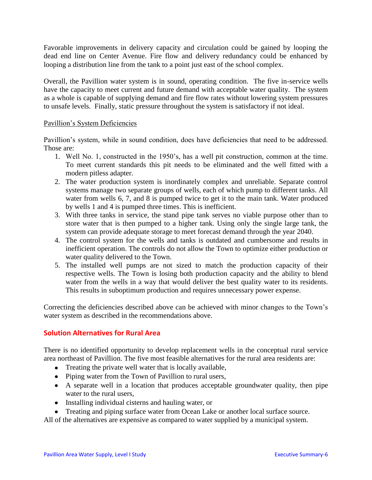Favorable improvements in delivery capacity and circulation could be gained by looping the dead end line on Center Avenue. Fire flow and delivery redundancy could be enhanced by looping a distribution line from the tank to a point just east of the school complex.

Overall, the Pavillion water system is in sound, operating condition. The five in-service wells have the capacity to meet current and future demand with acceptable water quality. The system as a whole is capable of supplying demand and fire flow rates without lowering system pressures to unsafe levels. Finally, static pressure throughout the system is satisfactory if not ideal.

#### Pavillion's System Deficiencies

Pavillion's system, while in sound condition, does have deficiencies that need to be addressed. Those are:

- 1. Well No. 1, constructed in the 1950's, has a well pit construction, common at the time. To meet current standards this pit needs to be eliminated and the well fitted with a modern pitless adapter.
- 2. The water production system is inordinately complex and unreliable. Separate control systems manage two separate groups of wells, each of which pump to different tanks. All water from wells 6, 7, and 8 is pumped twice to get it to the main tank. Water produced by wells 1 and 4 is pumped three times. This is inefficient.
- 3. With three tanks in service, the stand pipe tank serves no viable purpose other than to store water that is then pumped to a higher tank. Using only the single large tank, the system can provide adequate storage to meet forecast demand through the year 2040.
- 4. The control system for the wells and tanks is outdated and cumbersome and results in inefficient operation. The controls do not allow the Town to optimize either production or water quality delivered to the Town.
- 5. The installed well pumps are not sized to match the production capacity of their respective wells. The Town is losing both production capacity and the ability to blend water from the wells in a way that would deliver the best quality water to its residents. This results in suboptimum production and requires unnecessary power expense.

Correcting the deficiencies described above can be achieved with minor changes to the Town's water system as described in the recommendations above.

#### **Solution Alternatives for Rural Area**

There is no identified opportunity to develop replacement wells in the conceptual rural service area northeast of Pavillion. The five most feasible alternatives for the rural area residents are:

- Treating the private well water that is locally available,
- Piping water from the Town of Pavillion to rural users,
- A separate well in a location that produces acceptable groundwater quality, then pipe water to the rural users,
- Installing individual cisterns and hauling water, or
- Treating and piping surface water from Ocean Lake or another local surface source.

All of the alternatives are expensive as compared to water supplied by a municipal system.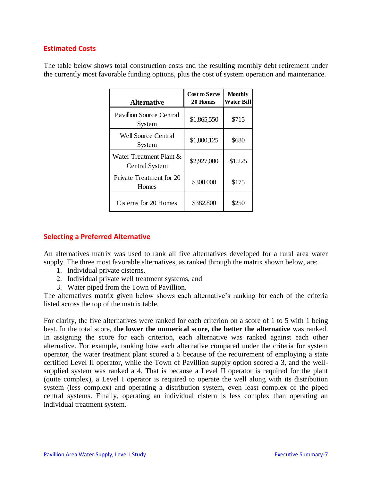#### **Estimated Costs**

The table below shows total construction costs and the resulting monthly debt retirement under the currently most favorable funding options, plus the cost of system operation and maintenance.

| <b>Alternative</b>                                  | <b>Cost to Serve</b><br>20 Homes | <b>Monthly</b><br>Water Bill |
|-----------------------------------------------------|----------------------------------|------------------------------|
| <b>Pavillion Source Central</b><br>System           | \$1,865,550                      | \$715                        |
| Well Source Central<br>System                       | \$1,800,125                      | \$680                        |
| Water Treatment Plant $\&$<br><b>Central System</b> | \$2,927,000                      | \$1,225                      |
| Private Treatment for 20<br>Homes                   | \$300,000                        | \$175                        |
| Cisterns for 20 Homes                               | \$382,800                        | \$250                        |

#### **Selecting a Preferred Alternative**

An alternatives matrix was used to rank all five alternatives developed for a rural area water supply. The three most favorable alternatives, as ranked through the matrix shown below, are:

- 1. Individual private cisterns,
- 2. Individual private well treatment systems, and
- 3. Water piped from the Town of Pavillion.

The alternatives matrix given below shows each alternative's ranking for each of the criteria listed across the top of the matrix table.

For clarity, the five alternatives were ranked for each criterion on a score of 1 to 5 with 1 being best. In the total score, **the lower the numerical score, the better the alternative** was ranked. In assigning the score for each criterion, each alternative was ranked against each other alternative. For example, ranking how each alternative compared under the criteria for system operator, the water treatment plant scored a 5 because of the requirement of employing a state certified Level II operator, while the Town of Pavillion supply option scored a 3, and the wellsupplied system was ranked a 4. That is because a Level II operator is required for the plant (quite complex), a Level I operator is required to operate the well along with its distribution system (less complex) and operating a distribution system, even least complex of the piped central systems. Finally, operating an individual cistern is less complex than operating an individual treatment system.